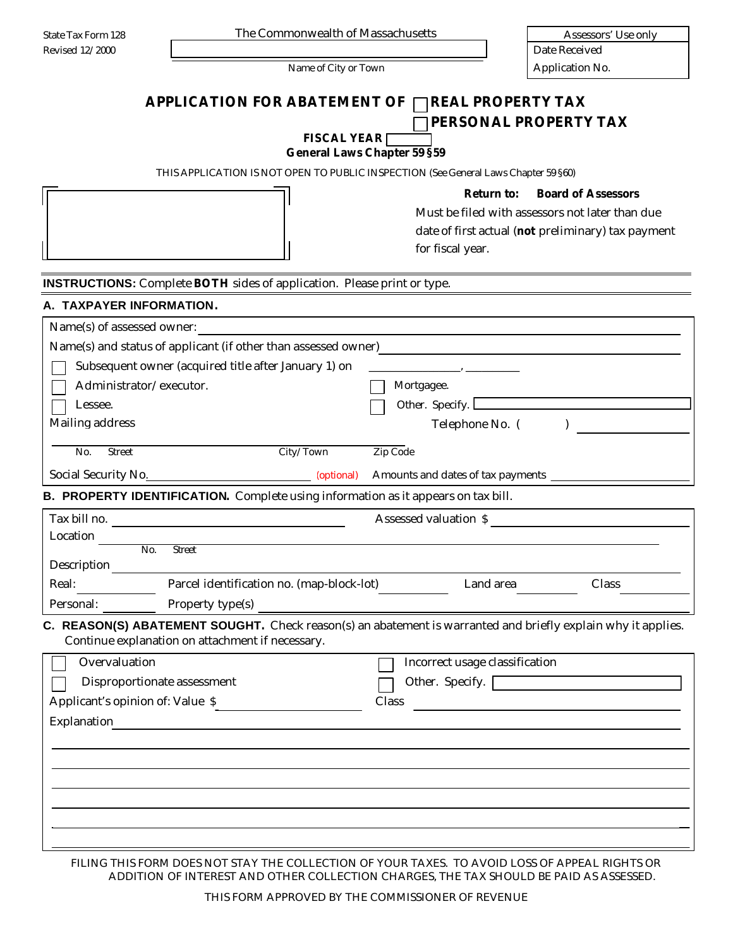| <b>APPLICATION FOR ABATEMENT OF</b>                                                    | <b>REAL PROPERTY TAX</b>                                                                                                                                                    |
|----------------------------------------------------------------------------------------|-----------------------------------------------------------------------------------------------------------------------------------------------------------------------------|
|                                                                                        | PERSONAL PROPERTY TAX<br><b>FISCAL YEAR</b>                                                                                                                                 |
|                                                                                        | <b>General Laws Chapter 59 §59</b>                                                                                                                                          |
|                                                                                        | THIS APPLICATION IS NOT OPEN TO PUBLIC INSPECTION (See General Laws Chapter 59 §60)                                                                                         |
|                                                                                        | <b>Board of Assessors</b><br><b>Return to:</b><br>Must be filed with assessors not later than due<br>date of first actual (not preliminary) tax payment<br>for fiscal year. |
| <b>INSTRUCTIONS:</b> Complete <b>BOTH</b> sides of application. Please print or type.  |                                                                                                                                                                             |
| A. TAXPAYER INFORMATION.                                                               |                                                                                                                                                                             |
| Name(s) of assessed owner:                                                             | <u> 1980 - Jan Barbara, martxa al II-lea (h. 1980).</u>                                                                                                                     |
|                                                                                        | Name(s) and status of applicant (if other than assessed owner)<br><u>Land Communication</u>                                                                                 |
| Subsequent owner (acquired title after January 1) on                                   |                                                                                                                                                                             |
| Administrator/executor.                                                                | Mortgagee.                                                                                                                                                                  |
| Lessee.                                                                                | Other. Specify.                                                                                                                                                             |
| Mailing address                                                                        | Telephone No. (                                                                                                                                                             |
| City/Town<br>No.<br><b>Street</b>                                                      | Zip Code                                                                                                                                                                    |
| Social Security No. 2008 [2013] [2013] [2013] [2013] Amounts and dates of tax payments |                                                                                                                                                                             |
| B. PROPERTY IDENTIFICATION. Complete using information as it appears on tax bill.      |                                                                                                                                                                             |
| Tax bill no.                                                                           | Assessed valuation \$                                                                                                                                                       |
| Location                                                                               |                                                                                                                                                                             |
| No.<br><b>Street</b>                                                                   |                                                                                                                                                                             |
| Description                                                                            |                                                                                                                                                                             |
| Real:<br>Parcel identification no. (map-block-lot)                                     | Land area<br>Class                                                                                                                                                          |
| Property type(s)<br>Personal:                                                          |                                                                                                                                                                             |
| Continue explanation on attachment if necessary.                                       | C. REASON(S) ABATEMENT SOUGHT. Check reason(s) an abatement is warranted and briefly explain why it applies.                                                                |
| Overvaluation                                                                          | Incorrect usage classification                                                                                                                                              |
| Disproportionate assessment                                                            | Other. Specify.                                                                                                                                                             |
| Applicant's opinion of: Value \$                                                       | Class<br><u> 1980 - Jan Samuel Barbara, martin da shekara 1980 - An tsara 1980 - An tsara 1980 - An tsara 1980 - An tsara</u>                                               |
| Explanation<br><u> 1980 - John Stein, Amerikaansk politiker (</u>                      |                                                                                                                                                                             |
|                                                                                        |                                                                                                                                                                             |
|                                                                                        |                                                                                                                                                                             |
|                                                                                        |                                                                                                                                                                             |
|                                                                                        |                                                                                                                                                                             |
|                                                                                        |                                                                                                                                                                             |
|                                                                                        |                                                                                                                                                                             |
|                                                                                        | FILING THIS FORM DOES NOT STAY THE COLLECTION OF YOUR TAXES. TO AVOID LOSS OF APPEAL RIGHTS OR                                                                              |
|                                                                                        | ADDITION OF INTEREST AND OTHER COLLECTION CHARGES, THE TAX SHOULD BE PAID AS ASSESSED.                                                                                      |
|                                                                                        | THIS FORM APPROVED BY THE COMMISSIONER OF REVENUE                                                                                                                           |

State Tax Form 128 The Commonwealth of Massachusetts Assessors' Use only

Name of City or Town Application No.

Revised 12/2000 **Date Received** Date Received

THIS FORM APPROVED BY THE COMMISSIONER OF REVENUE